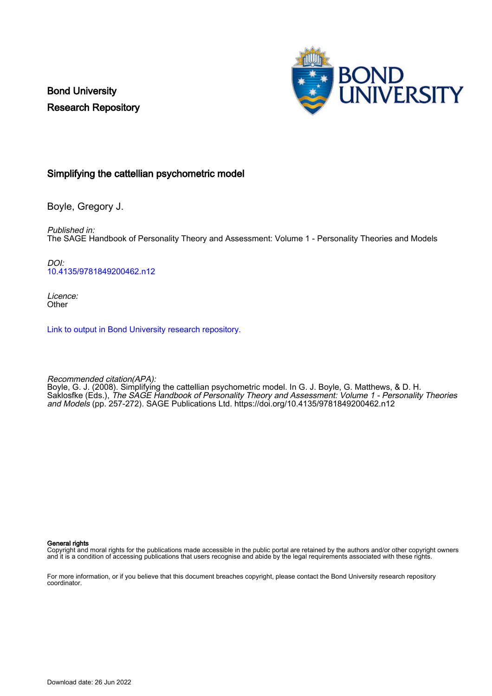Bond University Research Repository



## Simplifying the cattellian psychometric model

Boyle, Gregory J.

Published in: The SAGE Handbook of Personality Theory and Assessment: Volume 1 - Personality Theories and Models

DOI: [10.4135/9781849200462.n12](https://doi.org/10.4135/9781849200462.n12)

Licence: **Other** 

[Link to output in Bond University research repository.](https://research.bond.edu.au/en/publications/21f313c4-8160-4058-abca-da6d892d8e92)

Recommended citation(APA):

Boyle, G. J. (2008). Simplifying the cattellian psychometric model. In G. J. Boyle, G. Matthews, & D. H. Saklosfke (Eds.), The SAGE Handbook of Personality Theory and Assessment: Volume 1 - Personality Theories and Models (pp. 257-272). SAGE Publications Ltd. <https://doi.org/10.4135/9781849200462.n12>

General rights

Copyright and moral rights for the publications made accessible in the public portal are retained by the authors and/or other copyright owners and it is a condition of accessing publications that users recognise and abide by the legal requirements associated with these rights.

For more information, or if you believe that this document breaches copyright, please contact the Bond University research repository coordinator.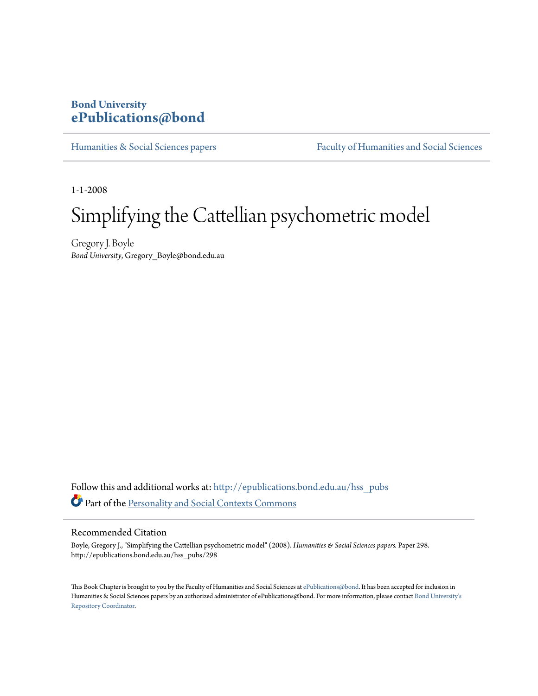## **Bond University [ePublications@bond](http://epublications.bond.edu.au?utm_source=epublications.bond.edu.au%2Fhss_pubs%2F298&utm_medium=PDF&utm_campaign=PDFCoverPages)**

[Humanities & Social Sciences papers](http://epublications.bond.edu.au/hss_pubs?utm_source=epublications.bond.edu.au%2Fhss_pubs%2F298&utm_medium=PDF&utm_campaign=PDFCoverPages) [Faculty of Humanities and Social Sciences](http://epublications.bond.edu.au/hss?utm_source=epublications.bond.edu.au%2Fhss_pubs%2F298&utm_medium=PDF&utm_campaign=PDFCoverPages)

1-1-2008

# Simplifying the Cattellian psychometric model

Gregory J. Boyle *Bond University*, Gregory\_Boyle@bond.edu.au

Follow this and additional works at: [http://epublications.bond.edu.au/hss\\_pubs](http://epublications.bond.edu.au/hss_pubs?utm_source=epublications.bond.edu.au%2Fhss_pubs%2F298&utm_medium=PDF&utm_campaign=PDFCoverPages) Part of the [Personality and Social Contexts Commons](http://network.bepress.com/hgg/discipline/413?utm_source=epublications.bond.edu.au%2Fhss_pubs%2F298&utm_medium=PDF&utm_campaign=PDFCoverPages)

#### Recommended Citation

Boyle, Gregory J., "Simplifying the Cattellian psychometric model" (2008). *Humanities & Social Sciences papers.* Paper 298. http://epublications.bond.edu.au/hss\_pubs/298

This Book Chapter is brought to you by the Faculty of Humanities and Social Sciences at [ePublications@bond](http://epublications.bond.edu.au). It has been accepted for inclusion in Humanities & Social Sciences papers by an authorized administrator of ePublications@bond. For more information, please contact [Bond University's](mailto:acass@bond.edu.au) [Repository Coordinator](mailto:acass@bond.edu.au).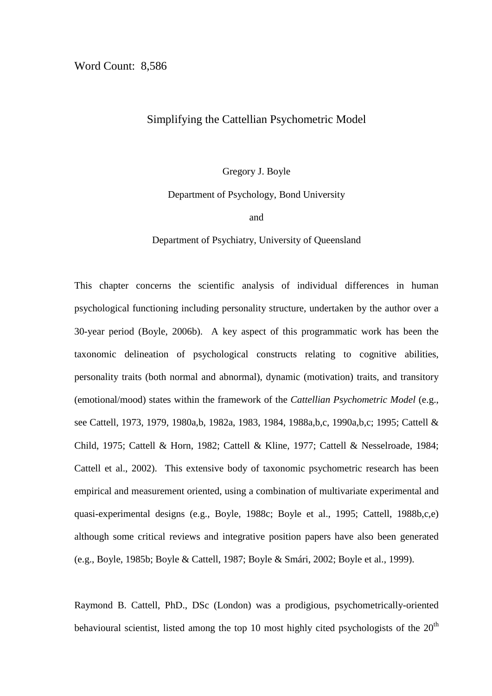## Simplifying the Cattellian Psychometric Model

Gregory J. Boyle

Department of Psychology, Bond University

and

Department of Psychiatry, University of Queensland

This chapter concerns the scientific analysis of individual differences in human psychological functioning including personality structure, undertaken by the author over a 30-year period (Boyle, 2006b). A key aspect of this programmatic work has been the taxonomic delineation of psychological constructs relating to cognitive abilities, personality traits (both normal and abnormal), dynamic (motivation) traits, and transitory (emotional/mood) states within the framework of the *Cattellian Psychometric Model* (e.g., see Cattell, 1973, 1979, 1980a,b, 1982a, 1983, 1984, 1988a,b,c, 1990a,b,c; 1995; Cattell & Child, 1975; Cattell & Horn, 1982; Cattell & Kline, 1977; Cattell & Nesselroade, 1984; Cattell et al., 2002). This extensive body of taxonomic psychometric research has been empirical and measurement oriented, using a combination of multivariate experimental and quasi-experimental designs (e.g., Boyle, 1988c; Boyle et al., 1995; Cattell, 1988b,c,e) although some critical reviews and integrative position papers have also been generated (e.g., Boyle, 1985b; Boyle & Cattell, 1987; Boyle & Smári, 2002; Boyle et al., 1999).

Raymond B. Cattell, PhD., DSc (London) was a prodigious, psychometrically-oriented behavioural scientist, listed among the top 10 most highly cited psychologists of the  $20<sup>th</sup>$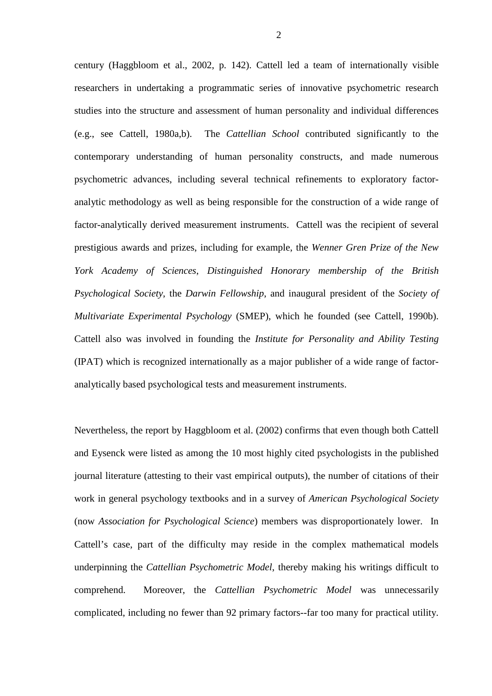century (Haggbloom et al., 2002, p. 142). Cattell led a team of internationally visible researchers in undertaking a programmatic series of innovative psychometric research studies into the structure and assessment of human personality and individual differences (e.g., see Cattell, 1980a,b). The *Cattellian School* contributed significantly to the contemporary understanding of human personality constructs, and made numerous psychometric advances, including several technical refinements to exploratory factoranalytic methodology as well as being responsible for the construction of a wide range of factor-analytically derived measurement instruments. Cattell was the recipient of several prestigious awards and prizes, including for example, the *Wenner Gren Prize of the New York Academy of Sciences*, *Distinguished Honorary membership of the British Psychological Society*, the *Darwin Fellowship*, and inaugural president of the *Society of Multivariate Experimental Psychology* (SMEP), which he founded (see Cattell, 1990b). Cattell also was involved in founding the *Institute for Personality and Ability Testing* (IPAT) which is recognized internationally as a major publisher of a wide range of factoranalytically based psychological tests and measurement instruments.

Nevertheless, the report by Haggbloom et al. (2002) confirms that even though both Cattell and Eysenck were listed as among the 10 most highly cited psychologists in the published journal literature (attesting to their vast empirical outputs), the number of citations of their work in general psychology textbooks and in a survey of *American Psychological Society* (now *Association for Psychological Science*) members was disproportionately lower. In Cattell's case, part of the difficulty may reside in the complex mathematical models underpinning the *Cattellian Psychometric Model*, thereby making his writings difficult to comprehend. Moreover, the *Cattellian Psychometric Model* was unnecessarily complicated, including no fewer than 92 primary factors--far too many for practical utility.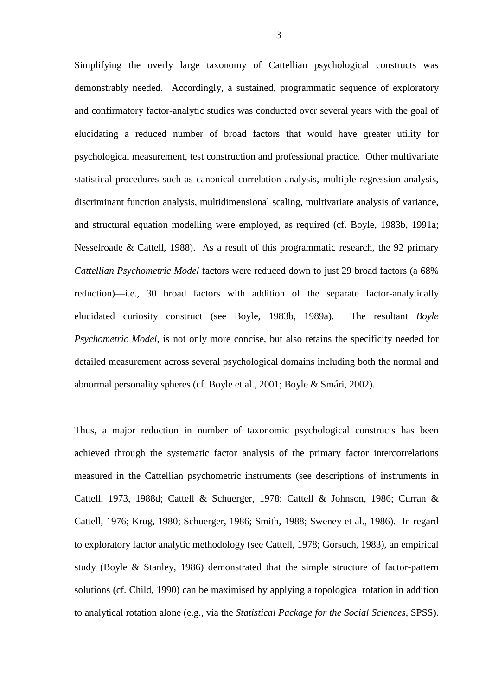Simplifying the overly large taxonomy of Cattellian psychological constructs was demonstrably needed. Accordingly, a sustained, programmatic sequence of exploratory and confirmatory factor-analytic studies was conducted over several years with the goal of elucidating a reduced number of broad factors that would have greater utility for psychological measurement, test construction and professional practice. Other multivariate statistical procedures such as canonical correlation analysis, multiple regression analysis, discriminant function analysis, multidimensional scaling, multivariate analysis of variance, and structural equation modelling were employed, as required (cf. Boyle, 1983b, 1991a; Nesselroade & Cattell, 1988). As a result of this programmatic research, the 92 primary *Cattellian Psychometric Model* factors were reduced down to just 29 broad factors (a 68% reduction)—i.e., 30 broad factors with addition of the separate factor-analytically elucidated curiosity construct (see Boyle, 1983b, 1989a). The resultant *Boyle Psychometric Model*, is not only more concise, but also retains the specificity needed for detailed measurement across several psychological domains including both the normal and abnormal personality spheres (cf. Boyle et al., 2001; Boyle & Smári, 2002).

Thus, a major reduction in number of taxonomic psychological constructs has been achieved through the systematic factor analysis of the primary factor intercorrelations measured in the Cattellian psychometric instruments (see descriptions of instruments in Cattell, 1973, 1988d; Cattell & Schuerger, 1978; Cattell & Johnson, 1986; Curran & Cattell, 1976; Krug, 1980; Schuerger, 1986; Smith, 1988; Sweney et al., 1986). In regard to exploratory factor analytic methodology (see Cattell, 1978; Gorsuch, 1983), an empirical study (Boyle & Stanley, 1986) demonstrated that the simple structure of factor-pattern solutions (cf. Child, 1990) can be maximised by applying a topological rotation in addition to analytical rotation alone (e.g., via the *Statistical Package for the Social Sciences*, SPSS).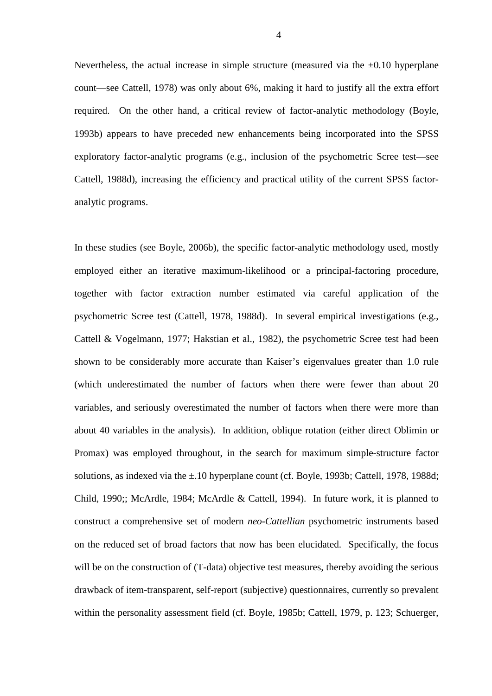Nevertheless, the actual increase in simple structure (measured via the  $\pm 0.10$  hyperplane count—see Cattell, 1978) was only about 6%, making it hard to justify all the extra effort required. On the other hand, a critical review of factor-analytic methodology (Boyle, 1993b) appears to have preceded new enhancements being incorporated into the SPSS exploratory factor-analytic programs (e.g., inclusion of the psychometric Scree test—see Cattell, 1988d), increasing the efficiency and practical utility of the current SPSS factoranalytic programs.

In these studies (see Boyle, 2006b), the specific factor-analytic methodology used, mostly employed either an iterative maximum-likelihood or a principal-factoring procedure, together with factor extraction number estimated via careful application of the psychometric Scree test (Cattell, 1978, 1988d). In several empirical investigations (e.g., Cattell & Vogelmann, 1977; Hakstian et al., 1982), the psychometric Scree test had been shown to be considerably more accurate than Kaiser's eigenvalues greater than 1.0 rule (which underestimated the number of factors when there were fewer than about 20 variables, and seriously overestimated the number of factors when there were more than about 40 variables in the analysis). In addition, oblique rotation (either direct Oblimin or Promax) was employed throughout, in the search for maximum simple-structure factor solutions, as indexed via the  $\pm$ .10 hyperplane count (cf. Boyle, 1993b; Cattell, 1978, 1988d; Child, 1990;; McArdle, 1984; McArdle & Cattell, 1994). In future work, it is planned to construct a comprehensive set of modern *neo-Cattellian* psychometric instruments based on the reduced set of broad factors that now has been elucidated. Specifically, the focus will be on the construction of (T-data) objective test measures, thereby avoiding the serious drawback of item-transparent, self-report (subjective) questionnaires, currently so prevalent within the personality assessment field (cf. Boyle, 1985b; Cattell, 1979, p. 123; Schuerger,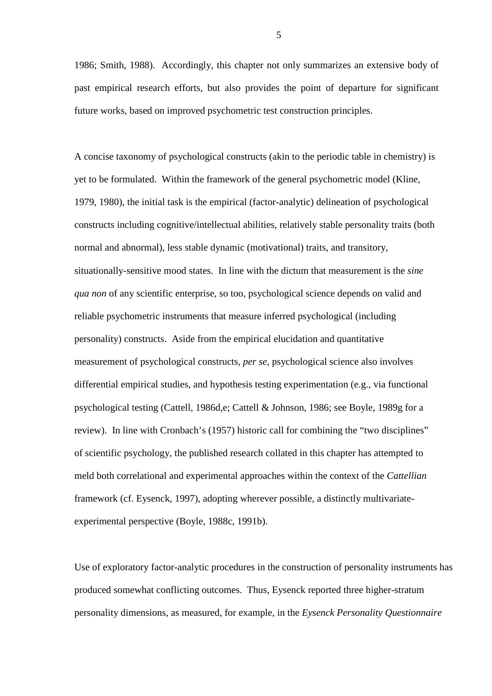1986; Smith, 1988). Accordingly, this chapter not only summarizes an extensive body of past empirical research efforts, but also provides the point of departure for significant future works, based on improved psychometric test construction principles.

A concise taxonomy of psychological constructs (akin to the periodic table in chemistry) is yet to be formulated. Within the framework of the general psychometric model (Kline, 1979, 1980), the initial task is the empirical (factor-analytic) delineation of psychological constructs including cognitive/intellectual abilities, relatively stable personality traits (both normal and abnormal), less stable dynamic (motivational) traits, and transitory, situationally-sensitive mood states. In line with the dictum that measurement is the *sine qua non* of any scientific enterprise, so too, psychological science depends on valid and reliable psychometric instruments that measure inferred psychological (including personality) constructs. Aside from the empirical elucidation and quantitative measurement of psychological constructs, *per se*, psychological science also involves differential empirical studies, and hypothesis testing experimentation (e.g., via functional psychological testing (Cattell, 1986d,e; Cattell & Johnson, 1986; see Boyle, 1989g for a review). In line with Cronbach's (1957) historic call for combining the "two disciplines" of scientific psychology, the published research collated in this chapter has attempted to meld both correlational and experimental approaches within the context of the *Cattellian* framework (cf. Eysenck, 1997), adopting wherever possible, a distinctly multivariateexperimental perspective (Boyle, 1988c, 1991b).

Use of exploratory factor-analytic procedures in the construction of personality instruments has produced somewhat conflicting outcomes. Thus, Eysenck reported three higher-stratum personality dimensions, as measured, for example, in the *Eysenck Personality Questionnaire* 

5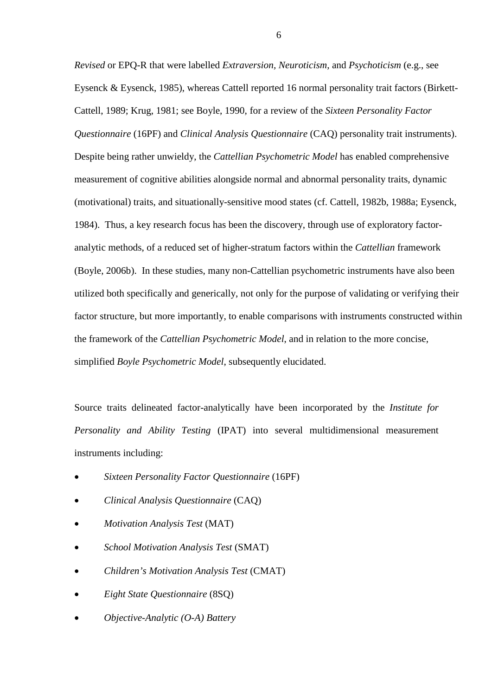*Revised* or EPQ-R that were labelled *Extraversion, Neuroticism,* and *Psychoticism* (e.g., see Eysenck & Eysenck, 1985), whereas Cattell reported 16 normal personality trait factors (Birkett-Cattell, 1989; Krug, 1981; see Boyle, 1990, for a review of the *Sixteen Personality Factor Questionnaire* (16PF) and *Clinical Analysis Questionnaire* (CAQ) personality trait instruments). Despite being rather unwieldy, the *Cattellian Psychometric Model* has enabled comprehensive measurement of cognitive abilities alongside normal and abnormal personality traits, dynamic (motivational) traits, and situationally-sensitive mood states (cf. Cattell, 1982b, 1988a; Eysenck, 1984). Thus, a key research focus has been the discovery, through use of exploratory factoranalytic methods, of a reduced set of higher-stratum factors within the *Cattellian* framework (Boyle, 2006b). In these studies, many non-Cattellian psychometric instruments have also been utilized both specifically and generically, not only for the purpose of validating or verifying their factor structure, but more importantly, to enable comparisons with instruments constructed within the framework of the *Cattellian Psychometric Model*, and in relation to the more concise, simplified *Boyle Psychometric Model*, subsequently elucidated.

Source traits delineated factor-analytically have been incorporated by the *Institute for Personality and Ability Testing* (IPAT) into several multidimensional measurement instruments including:

- *Sixteen Personality Factor Questionnaire* (16PF)
- *Clinical Analysis Questionnaire* (CAQ)
- *Motivation Analysis Test* (MAT)
- *School Motivation Analysis Test* (SMAT)
- *Children's Motivation Analysis Test* (CMAT)
- *Eight State Questionnaire* (8SQ)
- *Objective-Analytic (O-A) Battery*

6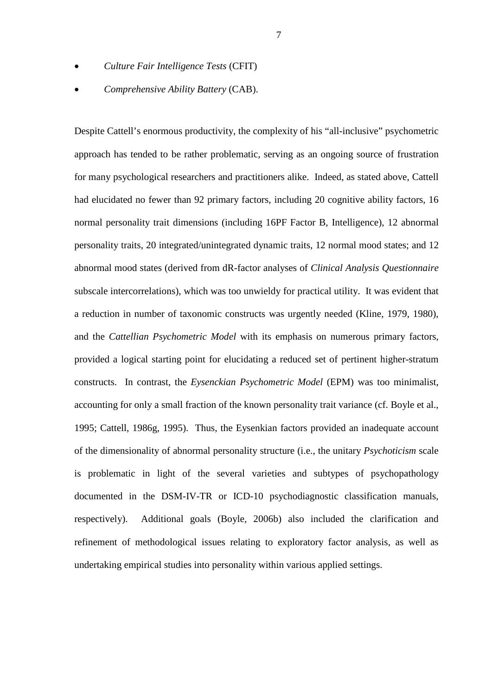• *Culture Fair Intelligence Tests* (CFIT)

• *Comprehensive Ability Battery* (CAB).

Despite Cattell's enormous productivity, the complexity of his "all-inclusive" psychometric approach has tended to be rather problematic, serving as an ongoing source of frustration for many psychological researchers and practitioners alike. Indeed, as stated above, Cattell had elucidated no fewer than 92 primary factors, including 20 cognitive ability factors, 16 normal personality trait dimensions (including 16PF Factor B, Intelligence), 12 abnormal personality traits, 20 integrated/unintegrated dynamic traits, 12 normal mood states; and 12 abnormal mood states (derived from dR-factor analyses of *Clinical Analysis Questionnaire* subscale intercorrelations), which was too unwieldy for practical utility. It was evident that a reduction in number of taxonomic constructs was urgently needed (Kline, 1979, 1980), and the *Cattellian Psychometric Model* with its emphasis on numerous primary factors, provided a logical starting point for elucidating a reduced set of pertinent higher-stratum constructs. In contrast, the *Eysenckian Psychometric Model* (EPM) was too minimalist, accounting for only a small fraction of the known personality trait variance (cf. Boyle et al., 1995; Cattell, 1986g, 1995). Thus, the Eysenkian factors provided an inadequate account of the dimensionality of abnormal personality structure (i.e., the unitary *Psychoticism* scale is problematic in light of the several varieties and subtypes of psychopathology documented in the DSM-IV-TR or ICD-10 psychodiagnostic classification manuals, respectively). Additional goals (Boyle, 2006b) also included the clarification and refinement of methodological issues relating to exploratory factor analysis, as well as undertaking empirical studies into personality within various applied settings.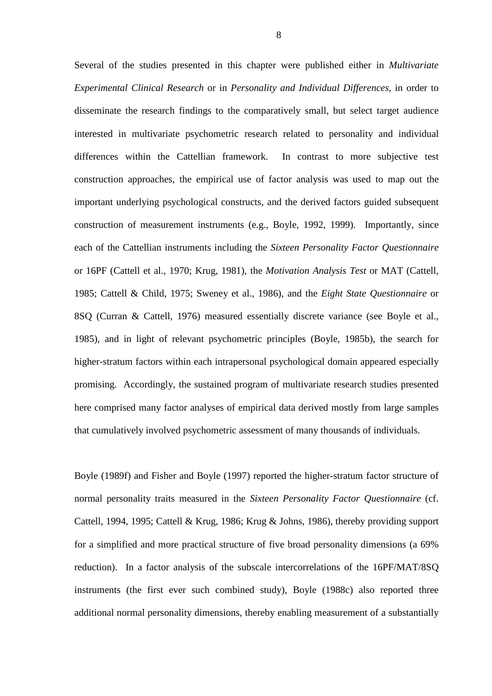Several of the studies presented in this chapter were published either in *Multivariate Experimental Clinical Research* or in *Personality and Individual Differences*, in order to disseminate the research findings to the comparatively small, but select target audience interested in multivariate psychometric research related to personality and individual differences within the Cattellian framework. In contrast to more subjective test construction approaches, the empirical use of factor analysis was used to map out the important underlying psychological constructs, and the derived factors guided subsequent construction of measurement instruments (e.g., Boyle, 1992, 1999). Importantly, since each of the Cattellian instruments including the *Sixteen Personality Factor Questionnaire* or 16PF (Cattell et al., 1970; Krug, 1981), the *Motivation Analysis Test* or MAT (Cattell, 1985; Cattell & Child, 1975; Sweney et al., 1986), and the *Eight State Questionnaire* or 8SQ (Curran & Cattell, 1976) measured essentially discrete variance (see Boyle et al., 1985), and in light of relevant psychometric principles (Boyle, 1985b), the search for higher-stratum factors within each intrapersonal psychological domain appeared especially promising. Accordingly, the sustained program of multivariate research studies presented here comprised many factor analyses of empirical data derived mostly from large samples that cumulatively involved psychometric assessment of many thousands of individuals.

Boyle (1989f) and Fisher and Boyle (1997) reported the higher-stratum factor structure of normal personality traits measured in the *Sixteen Personality Factor Questionnaire* (cf. Cattell, 1994, 1995; Cattell & Krug, 1986; Krug & Johns, 1986), thereby providing support for a simplified and more practical structure of five broad personality dimensions (a 69% reduction). In a factor analysis of the subscale intercorrelations of the 16PF/MAT/8SQ instruments (the first ever such combined study), Boyle (1988c) also reported three additional normal personality dimensions, thereby enabling measurement of a substantially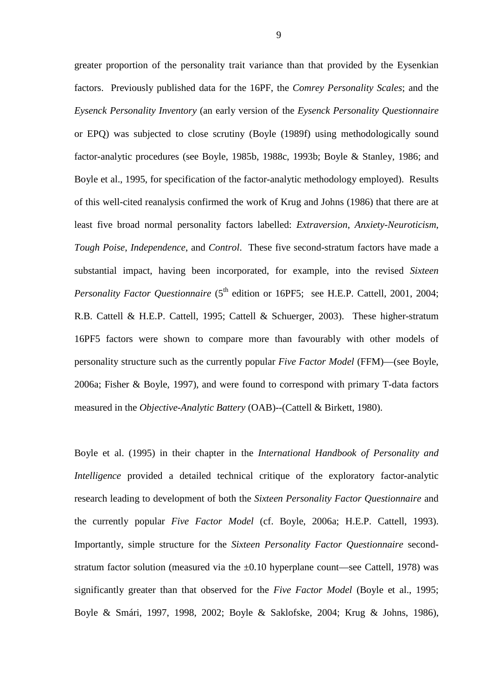greater proportion of the personality trait variance than that provided by the Eysenkian factors. Previously published data for the 16PF, the *Comrey Personality Scales*; and the *Eysenck Personality Inventory* (an early version of the *Eysenck Personality Questionnaire*  or EPQ) was subjected to close scrutiny (Boyle (1989f) using methodologically sound factor-analytic procedures (see Boyle, 1985b, 1988c, 1993b; Boyle & Stanley, 1986; and Boyle et al., 1995, for specification of the factor-analytic methodology employed). Results of this well-cited reanalysis confirmed the work of Krug and Johns (1986) that there are at least five broad normal personality factors labelled: *Extraversion*, *Anxiety-Neuroticism*, *Tough Poise*, *Independence*, and *Control*. These five second-stratum factors have made a substantial impact, having been incorporated, for example, into the revised *Sixteen Personality Factor Questionnaire* (5<sup>th</sup> edition or 16PF5; see H.E.P. Cattell, 2001, 2004; R.B. Cattell & H.E.P. Cattell, 1995; Cattell & Schuerger, 2003). These higher-stratum 16PF5 factors were shown to compare more than favourably with other models of personality structure such as the currently popular *Five Factor Model* (FFM)—(see Boyle, 2006a; Fisher & Boyle, 1997), and were found to correspond with primary T-data factors measured in the *Objective-Analytic Battery* (OAB)--(Cattell & Birkett, 1980).

Boyle et al. (1995) in their chapter in the *International Handbook of Personality and Intelligence* provided a detailed technical critique of the exploratory factor-analytic research leading to development of both the *Sixteen Personality Factor Questionnaire* and the currently popular *Five Factor Model* (cf. Boyle, 2006a; H.E.P. Cattell, 1993). Importantly, simple structure for the *Sixteen Personality Factor Questionnaire* secondstratum factor solution (measured via the  $\pm 0.10$  hyperplane count—see Cattell, 1978) was significantly greater than that observed for the *Five Factor Model* (Boyle et al., 1995; Boyle & Smári, 1997, 1998, 2002; Boyle & Saklofske, 2004; Krug & Johns, 1986),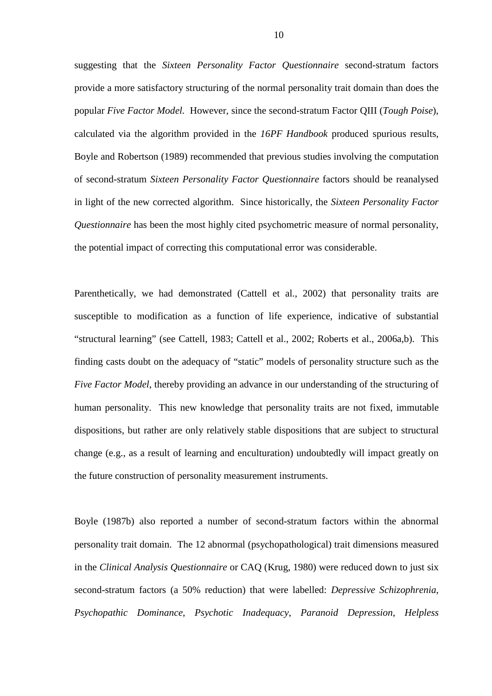suggesting that the *Sixteen Personality Factor Questionnaire* second-stratum factors provide a more satisfactory structuring of the normal personality trait domain than does the popular *Five Factor Model.* However, since the second-stratum Factor QIII (*Tough Poise*), calculated via the algorithm provided in the *16PF Handbook* produced spurious results, Boyle and Robertson (1989) recommended that previous studies involving the computation of second-stratum *Sixteen Personality Factor Questionnaire* factors should be reanalysed in light of the new corrected algorithm. Since historically, the *Sixteen Personality Factor Questionnaire* has been the most highly cited psychometric measure of normal personality, the potential impact of correcting this computational error was considerable.

Parenthetically, we had demonstrated (Cattell et al., 2002) that personality traits are susceptible to modification as a function of life experience, indicative of substantial "structural learning" (see Cattell, 1983; Cattell et al., 2002; Roberts et al., 2006a,b). This finding casts doubt on the adequacy of "static" models of personality structure such as the *Five Factor Model*, thereby providing an advance in our understanding of the structuring of human personality. This new knowledge that personality traits are not fixed, immutable dispositions, but rather are only relatively stable dispositions that are subject to structural change (e.g., as a result of learning and enculturation) undoubtedly will impact greatly on the future construction of personality measurement instruments.

Boyle (1987b) also reported a number of second-stratum factors within the abnormal personality trait domain. The 12 abnormal (psychopathological) trait dimensions measured in the *Clinical Analysis Questionnaire* or CAQ (Krug, 1980) were reduced down to just six second-stratum factors (a 50% reduction) that were labelled: *Depressive Schizophrenia*, *Psychopathic Dominance*, *Psychotic Inadequacy*, *Paranoid Depression*, *Helpless*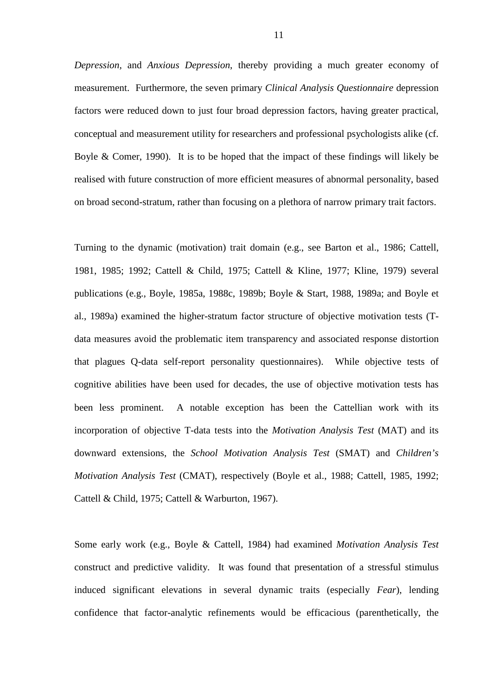*Depression,* and *Anxious Depression*, thereby providing a much greater economy of measurement. Furthermore, the seven primary *Clinical Analysis Questionnaire* depression factors were reduced down to just four broad depression factors, having greater practical, conceptual and measurement utility for researchers and professional psychologists alike (cf. Boyle & Comer, 1990). It is to be hoped that the impact of these findings will likely be realised with future construction of more efficient measures of abnormal personality, based on broad second-stratum, rather than focusing on a plethora of narrow primary trait factors.

Turning to the dynamic (motivation) trait domain (e.g., see Barton et al., 1986; Cattell, 1981, 1985; 1992; Cattell & Child, 1975; Cattell & Kline, 1977; Kline, 1979) several publications (e.g., Boyle, 1985a, 1988c, 1989b; Boyle & Start, 1988, 1989a; and Boyle et al., 1989a) examined the higher-stratum factor structure of objective motivation tests (Tdata measures avoid the problematic item transparency and associated response distortion that plagues Q-data self-report personality questionnaires). While objective tests of cognitive abilities have been used for decades, the use of objective motivation tests has been less prominent. A notable exception has been the Cattellian work with its incorporation of objective T-data tests into the *Motivation Analysis Test* (MAT) and its downward extensions, the *School Motivation Analysis Test* (SMAT) and *Children's Motivation Analysis Test* (CMAT), respectively (Boyle et al., 1988; Cattell, 1985, 1992; Cattell & Child, 1975; Cattell & Warburton, 1967).

Some early work (e.g., Boyle & Cattell, 1984) had examined *Motivation Analysis Test* construct and predictive validity. It was found that presentation of a stressful stimulus induced significant elevations in several dynamic traits (especially *Fear*), lending confidence that factor-analytic refinements would be efficacious (parenthetically, the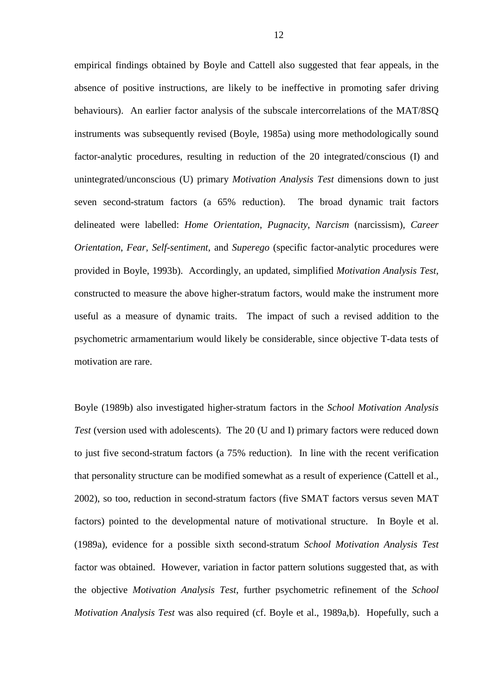empirical findings obtained by Boyle and Cattell also suggested that fear appeals, in the absence of positive instructions, are likely to be ineffective in promoting safer driving behaviours). An earlier factor analysis of the subscale intercorrelations of the MAT/8SQ instruments was subsequently revised (Boyle, 1985a) using more methodologically sound factor-analytic procedures, resulting in reduction of the 20 integrated/conscious (I) and unintegrated/unconscious (U) primary *Motivation Analysis Test* dimensions down to just seven second-stratum factors (a 65% reduction). The broad dynamic trait factors delineated were labelled: *Home Orientation*, *Pugnacity*, *Narcism* (narcissism), *Career Orientation*, *Fear, Self-sentiment*, and *Superego* (specific factor-analytic procedures were provided in Boyle, 1993b). Accordingly, an updated, simplified *Motivation Analysis Test*, constructed to measure the above higher-stratum factors, would make the instrument more useful as a measure of dynamic traits. The impact of such a revised addition to the psychometric armamentarium would likely be considerable, since objective T-data tests of motivation are rare.

Boyle (1989b) also investigated higher-stratum factors in the *School Motivation Analysis Test* (version used with adolescents). The 20 (U and I) primary factors were reduced down to just five second-stratum factors (a 75% reduction). In line with the recent verification that personality structure can be modified somewhat as a result of experience (Cattell et al., 2002), so too, reduction in second-stratum factors (five SMAT factors versus seven MAT factors) pointed to the developmental nature of motivational structure. In Boyle et al. (1989a), evidence for a possible sixth second-stratum *School Motivation Analysis Test* factor was obtained. However, variation in factor pattern solutions suggested that, as with the objective *Motivation Analysis Test*, further psychometric refinement of the *School Motivation Analysis Test* was also required (cf. Boyle et al., 1989a,b). Hopefully, such a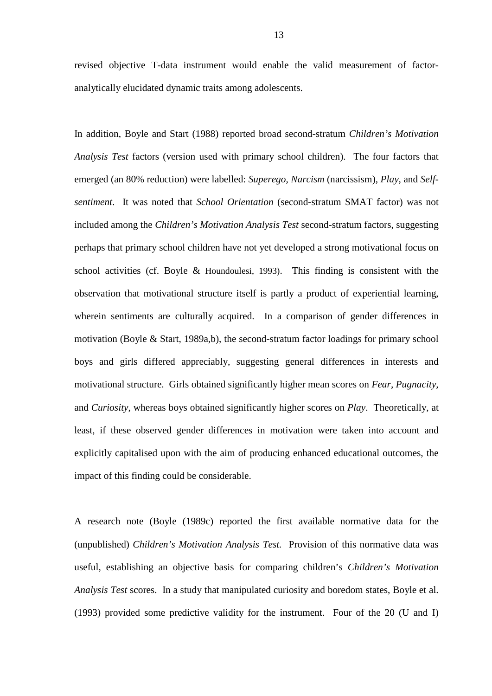revised objective T-data instrument would enable the valid measurement of factoranalytically elucidated dynamic traits among adolescents.

In addition, Boyle and Start (1988) reported broad second-stratum *Children's Motivation Analysis Test* factors (version used with primary school children). The four factors that emerged (an 80% reduction) were labelled: *Superego*, *Narcism* (narcissism), *Play*, and *Selfsentiment*. It was noted that *School Orientation* (second-stratum SMAT factor) was not included among the *Children's Motivation Analysis Test* second-stratum factors, suggesting perhaps that primary school children have not yet developed a strong motivational focus on school activities (cf. Boyle & Houndoulesi, 1993). This finding is consistent with the observation that motivational structure itself is partly a product of experiential learning, wherein sentiments are culturally acquired. In a comparison of gender differences in motivation (Boyle & Start, 1989a,b), the second-stratum factor loadings for primary school boys and girls differed appreciably, suggesting general differences in interests and motivational structure. Girls obtained significantly higher mean scores on *Fear, Pugnacity,*  and *Curiosity*, whereas boys obtained significantly higher scores on *Play*. Theoretically, at least, if these observed gender differences in motivation were taken into account and explicitly capitalised upon with the aim of producing enhanced educational outcomes, the impact of this finding could be considerable.

A research note (Boyle (1989c) reported the first available normative data for the (unpublished) *Children's Motivation Analysis Test.* Provision of this normative data was useful, establishing an objective basis for comparing children's *Children's Motivation Analysis Test* scores. In a study that manipulated curiosity and boredom states, Boyle et al. (1993) provided some predictive validity for the instrument. Four of the 20 (U and I)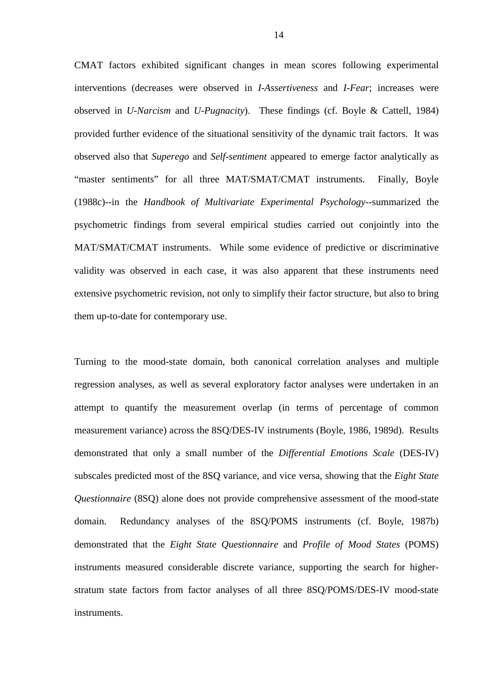CMAT factors exhibited significant changes in mean scores following experimental interventions (decreases were observed in *I-Assertiveness* and *I-Fear*; increases were observed in *U-Narcism* and *U-Pugnacity*). These findings (cf. Boyle & Cattell, 1984) provided further evidence of the situational sensitivity of the dynamic trait factors. It was observed also that *Superego* and *Self-sentiment* appeared to emerge factor analytically as "master sentiments" for all three MAT/SMAT/CMAT instruments. Finally, Boyle (1988c)--in the *Handbook of Multivariate Experimental Psychology*--summarized the psychometric findings from several empirical studies carried out conjointly into the MAT/SMAT/CMAT instruments. While some evidence of predictive or discriminative validity was observed in each case, it was also apparent that these instruments need extensive psychometric revision, not only to simplify their factor structure, but also to bring them up-to-date for contemporary use.

Turning to the mood-state domain, both canonical correlation analyses and multiple regression analyses, as well as several exploratory factor analyses were undertaken in an attempt to quantify the measurement overlap (in terms of percentage of common measurement variance) across the 8SQ/DES-IV instruments (Boyle, 1986, 1989d). Results demonstrated that only a small number of the *Differential Emotions Scale* (DES-IV) subscales predicted most of the 8SQ variance, and vice versa, showing that the *Eight State Questionnaire* (8SQ) alone does not provide comprehensive assessment of the mood-state domain. Redundancy analyses of the 8SQ/POMS instruments (cf. Boyle, 1987b) demonstrated that the *Eight State Questionnaire* and *Profile of Mood States* (POMS) instruments measured considerable discrete variance, supporting the search for higherstratum state factors from factor analyses of all three 8SQ/POMS/DES-IV mood-state instruments.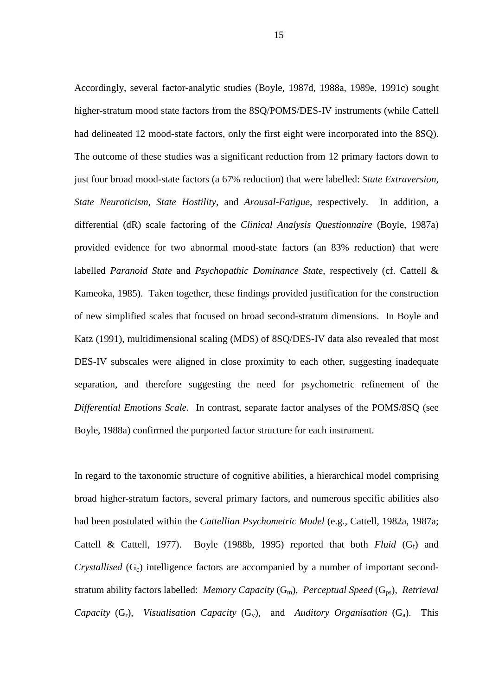Accordingly, several factor-analytic studies (Boyle, 1987d, 1988a, 1989e, 1991c) sought higher-stratum mood state factors from the 8SQ/POMS/DES-IV instruments (while Cattell had delineated 12 mood-state factors, only the first eight were incorporated into the 8SQ). The outcome of these studies was a significant reduction from 12 primary factors down to just four broad mood-state factors (a 67% reduction) that were labelled: *State Extraversion*, *State Neuroticism*, *State Hostility*, and *Arousal-Fatigue*, respectively. In addition, a differential (dR) scale factoring of the *Clinical Analysis Questionnaire* (Boyle, 1987a) provided evidence for two abnormal mood-state factors (an 83% reduction) that were labelled *Paranoid State* and *Psychopathic Dominance State*, respectively (cf. Cattell & Kameoka, 1985). Taken together, these findings provided justification for the construction of new simplified scales that focused on broad second-stratum dimensions. In Boyle and Katz (1991), multidimensional scaling (MDS) of 8SQ/DES-IV data also revealed that most DES-IV subscales were aligned in close proximity to each other, suggesting inadequate separation, and therefore suggesting the need for psychometric refinement of the *Differential Emotions Scale*. In contrast, separate factor analyses of the POMS/8SQ (see Boyle, 1988a) confirmed the purported factor structure for each instrument.

In regard to the taxonomic structure of cognitive abilities, a hierarchical model comprising broad higher-stratum factors, several primary factors, and numerous specific abilities also had been postulated within the *Cattellian Psychometric Model* (e.g., Cattell, 1982a, 1987a; Cattell & Cattell, 1977). Boyle (1988b, 1995) reported that both *Fluid*  $(G_f)$  and *Crystallised*  $(G_c)$  intelligence factors are accompanied by a number of important secondstratum ability factors labelled: *Memory Capacity* (G<sub>m</sub>), *Perceptual Speed* (G<sub>ps</sub>), *Retrieval Capacity*  $(G_r)$ , *Visualisation Capacity*  $(G_v)$ , and *Auditory Organisation*  $(G_a)$ . This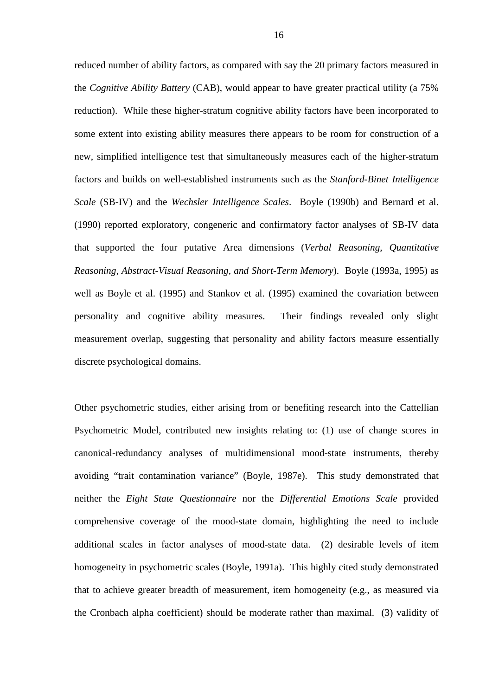reduced number of ability factors, as compared with say the 20 primary factors measured in the *Cognitive Ability Battery* (CAB), would appear to have greater practical utility (a 75% reduction). While these higher-stratum cognitive ability factors have been incorporated to some extent into existing ability measures there appears to be room for construction of a new, simplified intelligence test that simultaneously measures each of the higher-stratum factors and builds on well-established instruments such as the *Stanford-Binet Intelligence Scale* (SB-IV) and the *Wechsler Intelligence Scales*. Boyle (1990b) and Bernard et al. (1990) reported exploratory, congeneric and confirmatory factor analyses of SB-IV data that supported the four putative Area dimensions (*Verbal Reasoning, Quantitative Reasoning, Abstract-Visual Reasoning, and Short-Term Memory*). Boyle (1993a, 1995) as well as Boyle et al. (1995) and Stankov et al. (1995) examined the covariation between personality and cognitive ability measures. Their findings revealed only slight measurement overlap, suggesting that personality and ability factors measure essentially discrete psychological domains.

Other psychometric studies, either arising from or benefiting research into the Cattellian Psychometric Model, contributed new insights relating to: (1) use of change scores in canonical-redundancy analyses of multidimensional mood-state instruments, thereby avoiding "trait contamination variance" (Boyle, 1987e). This study demonstrated that neither the *Eight State Questionnaire* nor the *Differential Emotions Scale* provided comprehensive coverage of the mood-state domain, highlighting the need to include additional scales in factor analyses of mood-state data. (2) desirable levels of item homogeneity in psychometric scales (Boyle, 1991a). This highly cited study demonstrated that to achieve greater breadth of measurement, item homogeneity (e.g., as measured via the Cronbach alpha coefficient) should be moderate rather than maximal. (3) validity of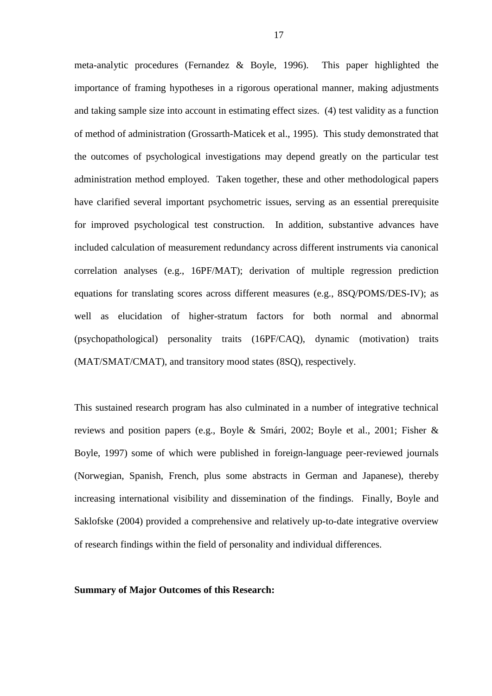meta-analytic procedures (Fernandez & Boyle, 1996). This paper highlighted the importance of framing hypotheses in a rigorous operational manner, making adjustments and taking sample size into account in estimating effect sizes. (4) test validity as a function of method of administration (Grossarth-Maticek et al., 1995). This study demonstrated that the outcomes of psychological investigations may depend greatly on the particular test administration method employed. Taken together, these and other methodological papers have clarified several important psychometric issues, serving as an essential prerequisite for improved psychological test construction. In addition, substantive advances have included calculation of measurement redundancy across different instruments via canonical correlation analyses (e.g., 16PF/MAT); derivation of multiple regression prediction equations for translating scores across different measures (e.g., 8SQ/POMS/DES-IV); as well as elucidation of higher-stratum factors for both normal and abnormal (psychopathological) personality traits (16PF/CAQ), dynamic (motivation) traits (MAT/SMAT/CMAT), and transitory mood states (8SQ), respectively.

This sustained research program has also culminated in a number of integrative technical reviews and position papers (e.g., Boyle & Smári, 2002; Boyle et al., 2001; Fisher & Boyle, 1997) some of which were published in foreign-language peer-reviewed journals (Norwegian, Spanish, French, plus some abstracts in German and Japanese), thereby increasing international visibility and dissemination of the findings. Finally, Boyle and Saklofske (2004) provided a comprehensive and relatively up-to-date integrative overview of research findings within the field of personality and individual differences.

#### **Summary of Major Outcomes of this Research:**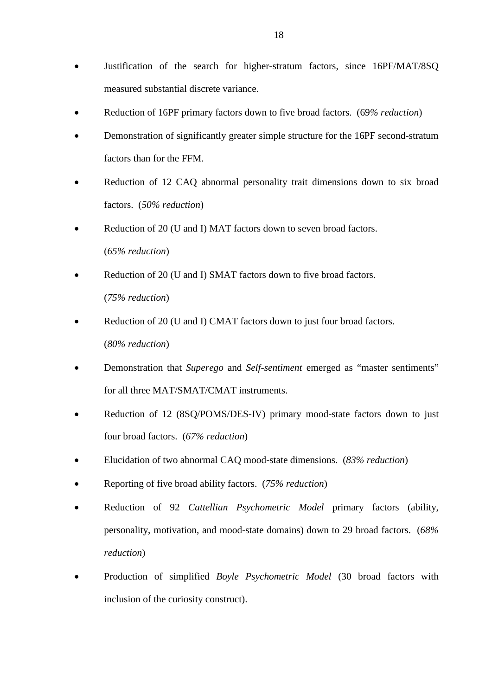- Justification of the search for higher-stratum factors, since 16PF/MAT/8SQ measured substantial discrete variance.
- Reduction of 16PF primary factors down to five broad factors. (69*% reduction*)
- Demonstration of significantly greater simple structure for the 16PF second-stratum factors than for the FFM.
- Reduction of 12 CAQ abnormal personality trait dimensions down to six broad factors. (*50% reduction*)
- Reduction of 20 (U and I) MAT factors down to seven broad factors. (*65% reduction*)
- Reduction of 20 (U and I) SMAT factors down to five broad factors. (*75% reduction*)
- Reduction of 20 (U and I) CMAT factors down to just four broad factors. (*80% reduction*)
- Demonstration that *Superego* and *Self-sentiment* emerged as "master sentiments" for all three MAT/SMAT/CMAT instruments.
- Reduction of 12 (8SQ/POMS/DES-IV) primary mood-state factors down to just four broad factors. (*67% reduction*)
- Elucidation of two abnormal CAQ mood-state dimensions. (*83% reduction*)
- Reporting of five broad ability factors. (*75% reduction*)
- Reduction of 92 *Cattellian Psychometric Model* primary factors (ability, personality, motivation, and mood-state domains) down to 29 broad factors. (*68% reduction*)
- Production of simplified *Boyle Psychometric Model* (30 broad factors with inclusion of the curiosity construct).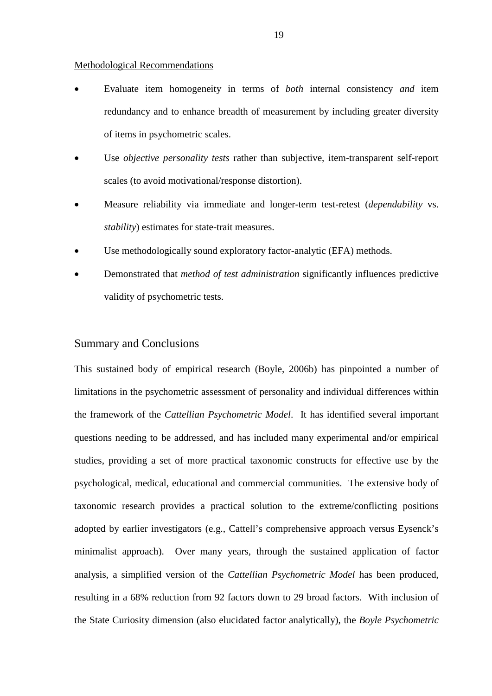#### Methodological Recommendations

- Evaluate item homogeneity in terms of *both* internal consistency *and* item redundancy and to enhance breadth of measurement by including greater diversity of items in psychometric scales.
- Use *objective personality tests* rather than subjective, item-transparent self-report scales (to avoid motivational/response distortion).
- Measure reliability via immediate and longer-term test-retest (*dependability* vs. *stability*) estimates for state-trait measures.
- Use methodologically sound exploratory factor-analytic (EFA) methods.
- Demonstrated that *method of test administration* significantly influences predictive validity of psychometric tests.

## Summary and Conclusions

This sustained body of empirical research (Boyle, 2006b) has pinpointed a number of limitations in the psychometric assessment of personality and individual differences within the framework of the *Cattellian Psychometric Model*. It has identified several important questions needing to be addressed, and has included many experimental and/or empirical studies, providing a set of more practical taxonomic constructs for effective use by the psychological, medical, educational and commercial communities. The extensive body of taxonomic research provides a practical solution to the extreme/conflicting positions adopted by earlier investigators (e.g., Cattell's comprehensive approach versus Eysenck's minimalist approach). Over many years, through the sustained application of factor analysis, a simplified version of the *Cattellian Psychometric Model* has been produced, resulting in a 68% reduction from 92 factors down to 29 broad factors. With inclusion of the State Curiosity dimension (also elucidated factor analytically), the *Boyle Psychometric*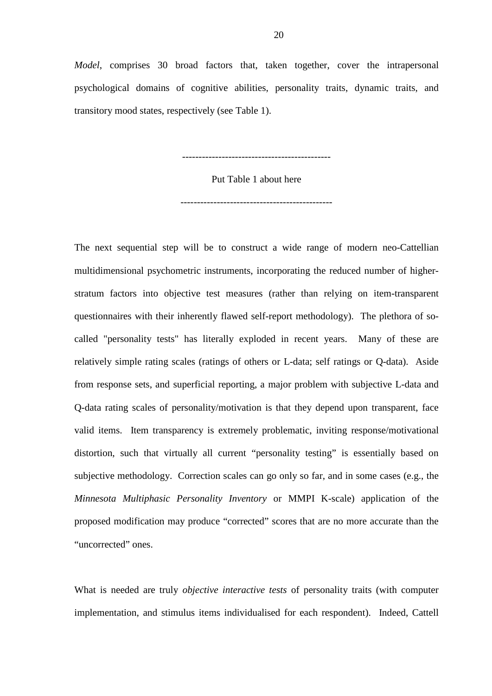*Model*, comprises 30 broad factors that, taken together, cover the intrapersonal psychological domains of cognitive abilities, personality traits, dynamic traits, and transitory mood states, respectively (see Table 1).

---------------------------------------------

## Put Table 1 about here

----------------------------------------------

The next sequential step will be to construct a wide range of modern neo-Cattellian multidimensional psychometric instruments, incorporating the reduced number of higherstratum factors into objective test measures (rather than relying on item-transparent questionnaires with their inherently flawed self-report methodology). The plethora of socalled "personality tests" has literally exploded in recent years. Many of these are relatively simple rating scales (ratings of others or L-data; self ratings or Q-data). Aside from response sets, and superficial reporting, a major problem with subjective L-data and Q-data rating scales of personality/motivation is that they depend upon transparent, face valid items. Item transparency is extremely problematic, inviting response/motivational distortion, such that virtually all current "personality testing" is essentially based on subjective methodology. Correction scales can go only so far, and in some cases (e.g., the *Minnesota Multiphasic Personality Inventory* or MMPI K-scale) application of the proposed modification may produce "corrected" scores that are no more accurate than the "uncorrected" ones.

What is needed are truly *objective interactive tests* of personality traits (with computer implementation, and stimulus items individualised for each respondent). Indeed, Cattell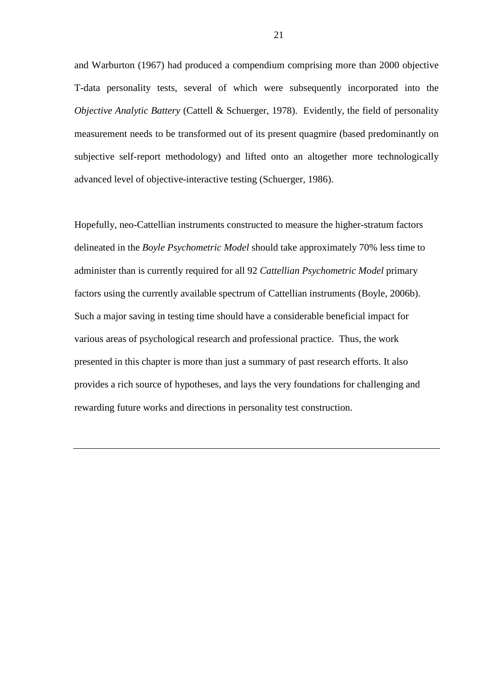and Warburton (1967) had produced a compendium comprising more than 2000 objective T-data personality tests, several of which were subsequently incorporated into the *Objective Analytic Battery* (Cattell & Schuerger, 1978). Evidently, the field of personality measurement needs to be transformed out of its present quagmire (based predominantly on subjective self-report methodology) and lifted onto an altogether more technologically advanced level of objective-interactive testing (Schuerger, 1986).

Hopefully, neo-Cattellian instruments constructed to measure the higher-stratum factors delineated in the *Boyle Psychometric Model* should take approximately 70% less time to administer than is currently required for all 92 *Cattellian Psychometric Model* primary factors using the currently available spectrum of Cattellian instruments (Boyle, 2006b). Such a major saving in testing time should have a considerable beneficial impact for various areas of psychological research and professional practice. Thus, the work presented in this chapter is more than just a summary of past research efforts. It also provides a rich source of hypotheses, and lays the very foundations for challenging and rewarding future works and directions in personality test construction.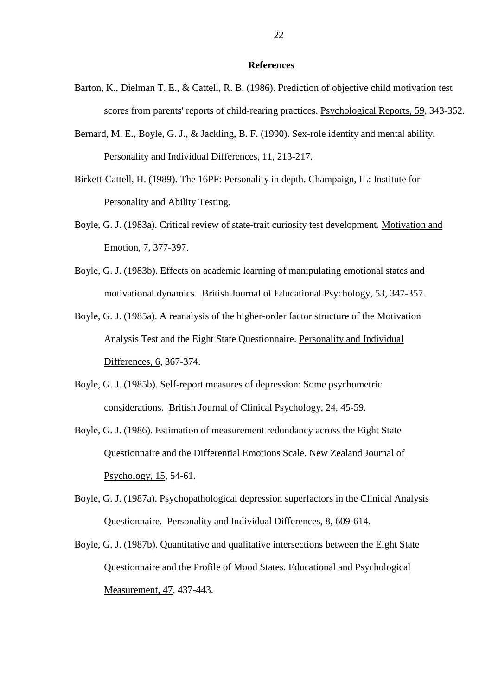#### **References**

- Barton, K., Dielman T. E., & Cattell, R. B. (1986). Prediction of objective child motivation test scores from parents' reports of child-rearing practices. Psychological Reports, 59, 343-352.
- Bernard, M. E., Boyle, G. J., & Jackling, B. F. (1990). Sex-role identity and mental ability. Personality and Individual Differences, 11, 213-217.
- Birkett-Cattell, H. (1989). The 16PF: Personality in depth. Champaign, IL: Institute for Personality and Ability Testing.
- Boyle, G. J. (1983a). Critical review of state-trait curiosity test development. Motivation and Emotion, 7, 377-397.
- Boyle, G. J. (1983b). Effects on academic learning of manipulating emotional states and motivational dynamics. British Journal of Educational Psychology, 53, 347-357.
- Boyle, G. J. (1985a). A reanalysis of the higher-order factor structure of the Motivation Analysis Test and the Eight State Questionnaire. Personality and Individual Differences, 6, 367-374.
- Boyle, G. J. (1985b). Self-report measures of depression: Some psychometric considerations. British Journal of Clinical Psychology, 24, 45-59.
- Boyle, G. J. (1986). Estimation of measurement redundancy across the Eight State Questionnaire and the Differential Emotions Scale. New Zealand Journal of Psychology, 15, 54-61.
- Boyle, G. J. (1987a). Psychopathological depression superfactors in the Clinical Analysis Questionnaire. Personality and Individual Differences, 8, 609-614.
- Boyle, G. J. (1987b). Quantitative and qualitative intersections between the Eight State Questionnaire and the Profile of Mood States. Educational and Psychological Measurement, 47, 437-443.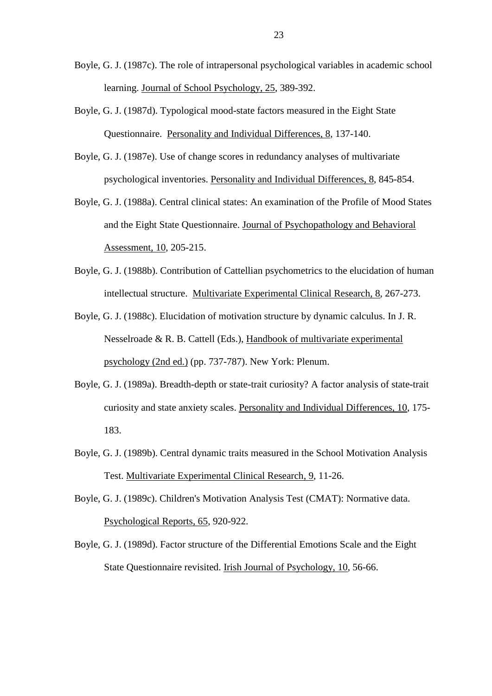- Boyle, G. J. (1987c). The role of intrapersonal psychological variables in academic school learning. Journal of School Psychology, 25, 389-392.
- Boyle, G. J. (1987d). Typological mood-state factors measured in the Eight State Questionnaire. Personality and Individual Differences, 8, 137-140.
- Boyle, G. J. (1987e). Use of change scores in redundancy analyses of multivariate psychological inventories. Personality and Individual Differences, 8, 845-854.
- Boyle, G. J. (1988a). Central clinical states: An examination of the Profile of Mood States and the Eight State Questionnaire. Journal of Psychopathology and Behavioral Assessment, 10, 205-215.
- Boyle, G. J. (1988b). Contribution of Cattellian psychometrics to the elucidation of human intellectual structure. Multivariate Experimental Clinical Research, 8, 267-273.
- Boyle, G. J. (1988c). Elucidation of motivation structure by dynamic calculus. In J. R. Nesselroade & R. B. Cattell (Eds.), Handbook of multivariate experimental psychology (2nd ed.) (pp. 737-787). New York: Plenum.
- Boyle, G. J. (1989a). Breadth-depth or state-trait curiosity? A factor analysis of state-trait curiosity and state anxiety scales. Personality and Individual Differences, 10, 175- 183.
- Boyle, G. J. (1989b). Central dynamic traits measured in the School Motivation Analysis Test. Multivariate Experimental Clinical Research, 9, 11-26.
- Boyle, G. J. (1989c). Children's Motivation Analysis Test (CMAT): Normative data. Psychological Reports, 65, 920-922.
- Boyle, G. J. (1989d). Factor structure of the Differential Emotions Scale and the Eight State Questionnaire revisited. Irish Journal of Psychology, 10, 56-66.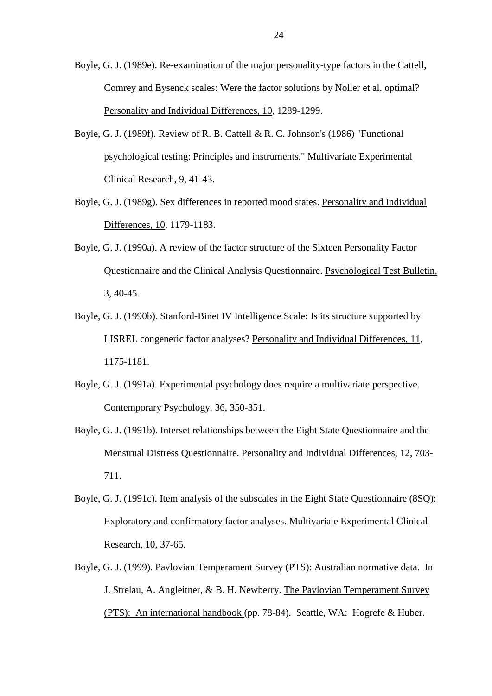Boyle, G. J. (1989e). Re-examination of the major personality-type factors in the Cattell, Comrey and Eysenck scales: Were the factor solutions by Noller et al. optimal? Personality and Individual Differences, 10, 1289-1299.

- Boyle, G. J. (1989f). Review of R. B. Cattell & R. C. Johnson's (1986) "Functional psychological testing: Principles and instruments." Multivariate Experimental Clinical Research, 9, 41-43.
- Boyle, G. J. (1989g). Sex differences in reported mood states. Personality and Individual Differences, 10, 1179-1183.
- Boyle, G. J. (1990a). A review of the factor structure of the Sixteen Personality Factor Questionnaire and the Clinical Analysis Questionnaire. Psychological Test Bulletin,  $3,40-45.$
- Boyle, G. J. (1990b). Stanford-Binet IV Intelligence Scale: Is its structure supported by LISREL congeneric factor analyses? Personality and Individual Differences, 11, 1175-1181.
- Boyle, G. J. (1991a). Experimental psychology does require a multivariate perspective. Contemporary Psychology, 36, 350-351.
- Boyle, G. J. (1991b). Interset relationships between the Eight State Questionnaire and the Menstrual Distress Questionnaire. Personality and Individual Differences, 12, 703- 711.
- Boyle, G. J. (1991c). Item analysis of the subscales in the Eight State Questionnaire (8SQ): Exploratory and confirmatory factor analyses. Multivariate Experimental Clinical Research, 10, 37-65.
- Boyle, G. J. (1999). Pavlovian Temperament Survey (PTS): Australian normative data. In J. Strelau, A. Angleitner, & B. H. Newberry. The Pavlovian Temperament Survey (PTS): An international handbook (pp. 78-84). Seattle, WA: Hogrefe & Huber.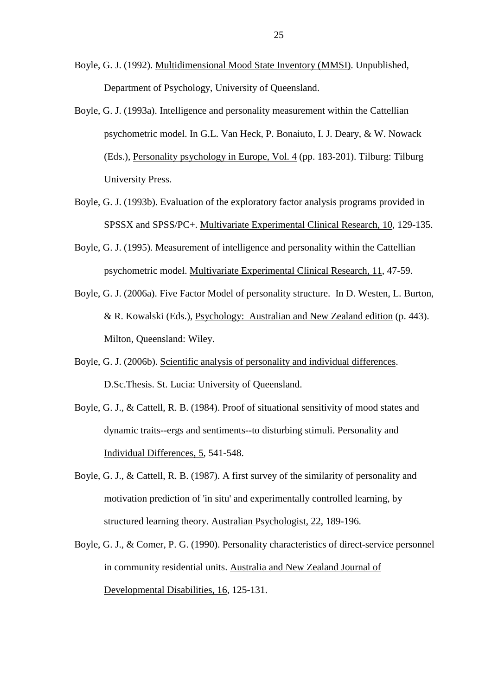- Boyle, G. J. (1992). Multidimensional Mood State Inventory (MMSI). Unpublished, Department of Psychology, University of Queensland.
- Boyle, G. J. (1993a). Intelligence and personality measurement within the Cattellian psychometric model. In G.L. Van Heck, P. Bonaiuto, I. J. Deary, & W. Nowack (Eds.), Personality psychology in Europe, Vol. 4 (pp. 183-201). Tilburg: Tilburg University Press.
- Boyle, G. J. (1993b). Evaluation of the exploratory factor analysis programs provided in SPSSX and SPSS/PC+. Multivariate Experimental Clinical Research, 10, 129-135.
- Boyle, G. J. (1995). Measurement of intelligence and personality within the Cattellian psychometric model. Multivariate Experimental Clinical Research, 11, 47-59.
- Boyle, G. J. (2006a). Five Factor Model of personality structure. In D. Westen, L. Burton, & R. Kowalski (Eds.), Psychology: Australian and New Zealand edition (p. 443). Milton, Queensland: Wiley.
- Boyle, G. J. (2006b). Scientific analysis of personality and individual differences. D.Sc.Thesis. St. Lucia: University of Queensland.
- Boyle, G. J., & Cattell, R. B. (1984). Proof of situational sensitivity of mood states and dynamic traits--ergs and sentiments--to disturbing stimuli. Personality and Individual Differences, 5, 541-548.
- Boyle, G. J., & Cattell, R. B. (1987). A first survey of the similarity of personality and motivation prediction of 'in situ' and experimentally controlled learning, by structured learning theory. Australian Psychologist, 22, 189-196.
- Boyle, G. J., & Comer, P. G. (1990). Personality characteristics of direct-service personnel in community residential units. Australia and New Zealand Journal of Developmental Disabilities, 16, 125-131.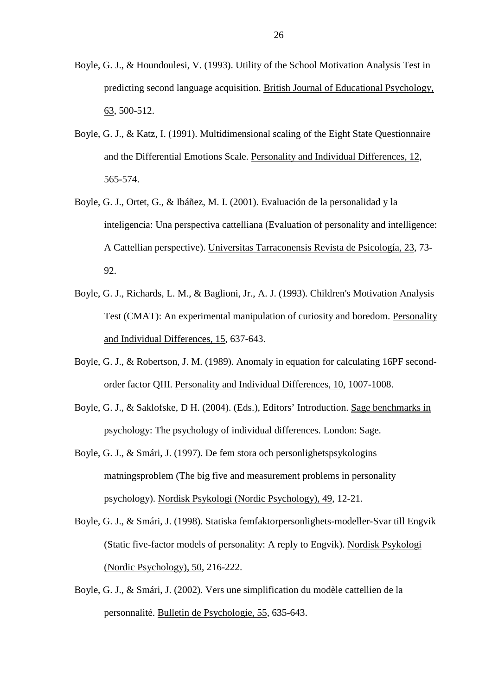- Boyle, G. J., & Houndoulesi, V. (1993). Utility of the School Motivation Analysis Test in predicting second language acquisition. British Journal of Educational Psychology, 63, 500-512.
- Boyle, G. J., & Katz, I. (1991). Multidimensional scaling of the Eight State Questionnaire and the Differential Emotions Scale. Personality and Individual Differences, 12, 565-574.
- Boyle, G. J., Ortet, G., & Ibáñez, M. I. (2001). Evaluación de la personalidad y la inteligencia: Una perspectiva cattelliana (Evaluation of personality and intelligence: A Cattellian perspective). Universitas Tarraconensis Revista de Psicología, 23, 73- 92.
- Boyle, G. J., Richards, L. M., & Baglioni, Jr., A. J. (1993). Children's Motivation Analysis Test (CMAT): An experimental manipulation of curiosity and boredom. Personality and Individual Differences, 15, 637-643.
- Boyle, G. J., & Robertson, J. M. (1989). Anomaly in equation for calculating 16PF secondorder factor QIII. Personality and Individual Differences, 10, 1007-1008.
- Boyle, G. J., & Saklofske, D H. (2004). (Eds.), Editors' Introduction. Sage benchmarks in psychology: The psychology of individual differences. London: Sage.
- Boyle, G. J., & Smári, J. (1997). De fem stora och personlighetspsykologins matningsproblem (The big five and measurement problems in personality psychology). Nordisk Psykologi (Nordic Psychology), 49, 12-21.
- Boyle, G. J., & Smári, J. (1998). Statiska femfaktorpersonlighets-modeller-Svar till Engvik (Static five-factor models of personality: A reply to Engvik). Nordisk Psykologi (Nordic Psychology), 50, 216-222.
- Boyle, G. J., & Smári, J. (2002). Vers une simplification du modèle cattellien de la personnalité. Bulletin de Psychologie, 55, 635-643.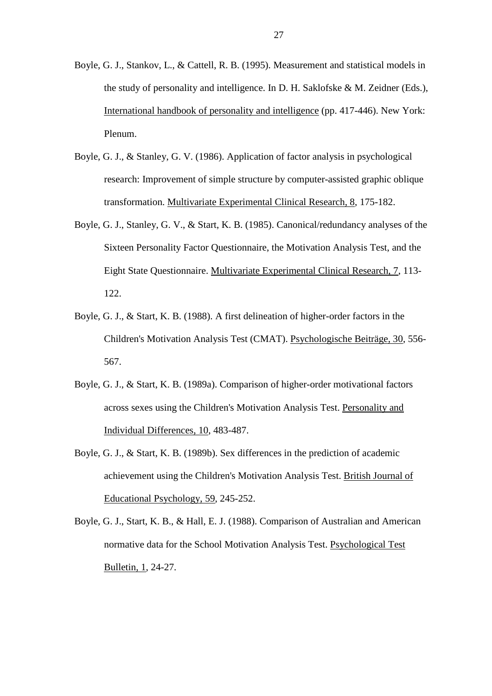- Boyle, G. J., Stankov, L., & Cattell, R. B. (1995). Measurement and statistical models in the study of personality and intelligence. In D. H. Saklofske & M. Zeidner (Eds.), International handbook of personality and intelligence (pp. 417-446). New York: Plenum.
- Boyle, G. J., & Stanley, G. V. (1986). Application of factor analysis in psychological research: Improvement of simple structure by computer-assisted graphic oblique transformation. Multivariate Experimental Clinical Research, 8, 175-182.
- Boyle, G. J., Stanley, G. V., & Start, K. B. (1985). Canonical/redundancy analyses of the Sixteen Personality Factor Questionnaire, the Motivation Analysis Test, and the Eight State Questionnaire. Multivariate Experimental Clinical Research, 7, 113- 122.
- Boyle, G. J., & Start, K. B. (1988). A first delineation of higher-order factors in the Children's Motivation Analysis Test (CMAT). Psychologische Beiträge, 30, 556- 567.
- Boyle, G. J., & Start, K. B. (1989a). Comparison of higher-order motivational factors across sexes using the Children's Motivation Analysis Test. Personality and Individual Differences, 10, 483-487.
- Boyle, G. J., & Start, K. B. (1989b). Sex differences in the prediction of academic achievement using the Children's Motivation Analysis Test. British Journal of Educational Psychology, 59, 245-252.
- Boyle, G. J., Start, K. B., & Hall, E. J. (1988). Comparison of Australian and American normative data for the School Motivation Analysis Test. Psychological Test Bulletin, 1, 24-27.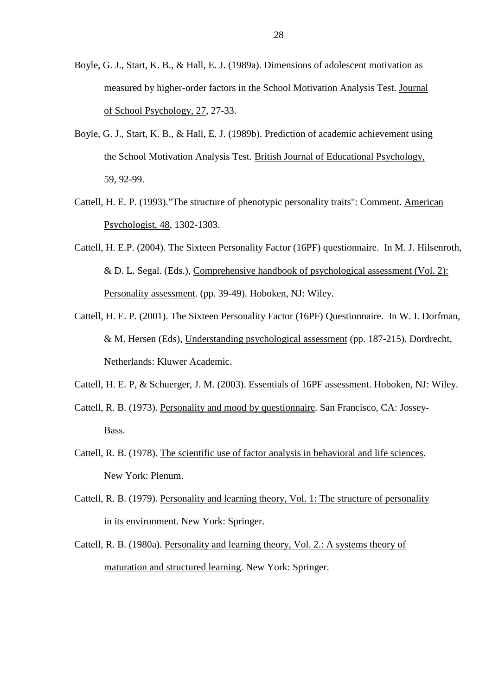- Boyle, G. J., Start, K. B., & Hall, E. J. (1989a). Dimensions of adolescent motivation as measured by higher-order factors in the School Motivation Analysis Test. Journal of School Psychology, 27, 27-33.
- Boyle, G. J., Start, K. B., & Hall, E. J. (1989b). Prediction of academic achievement using the School Motivation Analysis Test. British Journal of Educational Psychology, 59, 92-99.
- Cattell, H. E. P. (1993)."The structure of phenotypic personality traits": Comment. American Psychologist, 48, 1302-1303.
- Cattell, H. E.P. (2004). The Sixteen Personality Factor (16PF) questionnaire. In M. J. Hilsenroth, & D. L. Segal. (Eds.), Comprehensive handbook of psychological assessment (Vol. 2): Personality assessment. (pp. 39-49). Hoboken, NJ: Wiley.
- Cattell, H. E. P. (2001). The Sixteen Personality Factor (16PF) Questionnaire. In W. I. Dorfman, & M. Hersen (Eds), Understanding psychological assessment (pp. 187-215). Dordrecht, Netherlands: Kluwer Academic.
- Cattell, H. E. P, & Schuerger, J. M. (2003). Essentials of 16PF assessment. Hoboken, NJ: Wiley.
- Cattell, R. B. (1973). Personality and mood by questionnaire. San Francisco, CA: Jossey-Bass.
- Cattell, R. B. (1978). The scientific use of factor analysis in behavioral and life sciences. New York: Plenum.
- Cattell, R. B. (1979). Personality and learning theory, Vol. 1: The structure of personality in its environment. New York: Springer.
- Cattell, R. B. (1980a). Personality and learning theory, Vol. 2.: A systems theory of maturation and structured learning. New York: Springer.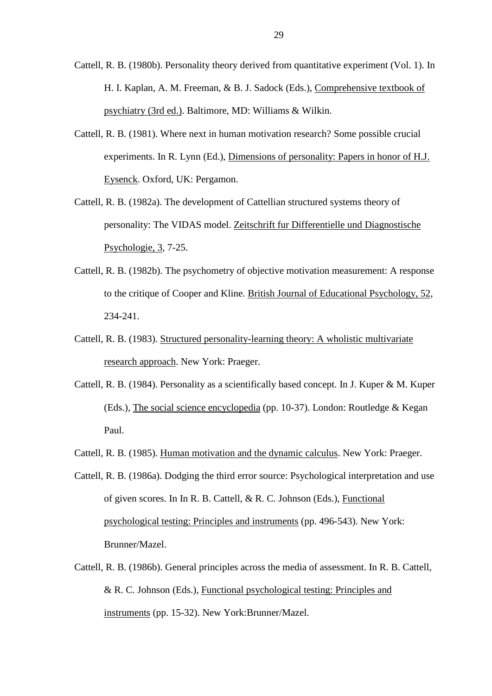- Cattell, R. B. (1980b). Personality theory derived from quantitative experiment (Vol. 1). In H. I. Kaplan, A. M. Freeman, & B. J. Sadock (Eds.), Comprehensive textbook of psychiatry (3rd ed.). Baltimore, MD: Williams & Wilkin.
- Cattell, R. B. (1981). Where next in human motivation research? Some possible crucial experiments. In R. Lynn (Ed.), Dimensions of personality: Papers in honor of H.J. Eysenck. Oxford, UK: Pergamon.
- Cattell, R. B. (1982a). The development of Cattellian structured systems theory of personality: The VIDAS model. Zeitschrift fur Differentielle und Diagnostische Psychologie, 3, 7-25.
- Cattell, R. B. (1982b). The psychometry of objective motivation measurement: A response to the critique of Cooper and Kline. British Journal of Educational Psychology, 52, 234-241.
- Cattell, R. B. (1983). Structured personality-learning theory: A wholistic multivariate research approach. New York: Praeger.
- Cattell, R. B. (1984). Personality as a scientifically based concept. In J. Kuper & M. Kuper (Eds.), The social science encyclopedia (pp. 10-37). London: Routledge & Kegan Paul.
- Cattell, R. B. (1985). Human motivation and the dynamic calculus. New York: Praeger.
- Cattell, R. B. (1986a). Dodging the third error source: Psychological interpretation and use of given scores. In In R. B. Cattell, & R. C. Johnson (Eds.), Functional psychological testing: Principles and instruments (pp. 496-543). New York: Brunner/Mazel.
- Cattell, R. B. (1986b). General principles across the media of assessment. In R. B. Cattell, & R. C. Johnson (Eds.), Functional psychological testing: Principles and instruments (pp. 15-32). New York:Brunner/Mazel.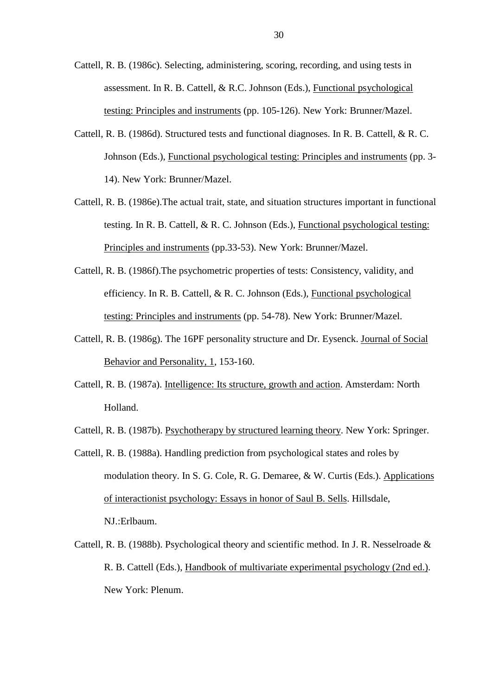- Cattell, R. B. (1986c). Selecting, administering, scoring, recording, and using tests in assessment. In R. B. Cattell, & R.C. Johnson (Eds.), Functional psychological testing: Principles and instruments (pp. 105-126). New York: Brunner/Mazel.
- Cattell, R. B. (1986d). Structured tests and functional diagnoses. In R. B. Cattell, & R. C. Johnson (Eds.), Functional psychological testing: Principles and instruments (pp. 3- 14). New York: Brunner/Mazel.
- Cattell, R. B. (1986e).The actual trait, state, and situation structures important in functional testing. In R. B. Cattell, & R. C. Johnson (Eds.), Functional psychological testing: Principles and instruments (pp.33-53). New York: Brunner/Mazel.
- Cattell, R. B. (1986f).The psychometric properties of tests: Consistency, validity, and efficiency. In R. B. Cattell, & R. C. Johnson (Eds.), Functional psychological testing: Principles and instruments (pp. 54-78). New York: Brunner/Mazel.
- Cattell, R. B. (1986g). The 16PF personality structure and Dr. Eysenck. Journal of Social Behavior and Personality, 1, 153-160.
- Cattell, R. B. (1987a). Intelligence: Its structure, growth and action. Amsterdam: North Holland.
- Cattell, R. B. (1987b). Psychotherapy by structured learning theory. New York: Springer.
- Cattell, R. B. (1988a). Handling prediction from psychological states and roles by modulation theory. In S. G. Cole, R. G. Demaree, & W. Curtis (Eds.). Applications of interactionist psychology: Essays in honor of Saul B. Sells. Hillsdale, NJ.:Erlbaum.
- Cattell, R. B. (1988b). Psychological theory and scientific method. In J. R. Nesselroade & R. B. Cattell (Eds.), Handbook of multivariate experimental psychology (2nd ed.). New York: Plenum.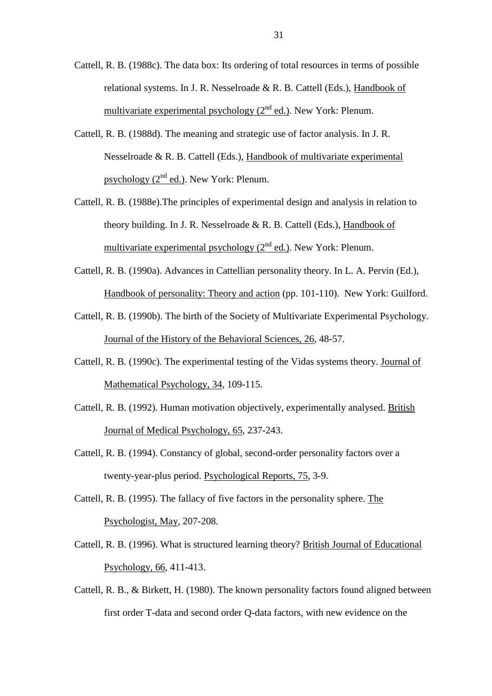- Cattell, R. B. (1988c). The data box: Its ordering of total resources in terms of possible relational systems. In J. R. Nesselroade & R. B. Cattell (Eds.), Handbook of multivariate experimental psychology  $(2<sup>nd</sup>$ ed.). New York: Plenum.
- Cattell, R. B. (1988d). The meaning and strategic use of factor analysis. In J. R. Nesselroade & R. B. Cattell (Eds.), Handbook of multivariate experimental psychology  $(2^{nd}$  ed.). New York: Plenum.
- Cattell, R. B. (1988e).The principles of experimental design and analysis in relation to theory building. In J. R. Nesselroade & R. B. Cattell (Eds.), Handbook of multivariate experimental psychology  $(2<sup>nd</sup>$  ed.). New York: Plenum.
- Cattell, R. B. (1990a). Advances in Cattellian personality theory. In L. A. Pervin (Ed.), Handbook of personality: Theory and action (pp. 101-110). New York: Guilford.
- Cattell, R. B. (1990b). The birth of the Society of Multivariate Experimental Psychology. Journal of the History of the Behavioral Sciences, 26, 48-57.
- Cattell, R. B. (1990c). The experimental testing of the Vidas systems theory. Journal of Mathematical Psychology, 34, 109-115.
- Cattell, R. B. (1992). Human motivation objectively, experimentally analysed. British Journal of Medical Psychology, 65, 237-243.
- Cattell, R. B. (1994). Constancy of global, second-order personality factors over a twenty-year-plus period. Psychological Reports, 75, 3-9.
- Cattell, R. B. (1995). The fallacy of five factors in the personality sphere. The Psychologist, May, 207-208.
- Cattell, R. B. (1996). What is structured learning theory? British Journal of Educational Psychology, 66, 411-413.
- Cattell, R. B., & Birkett, H. (1980). The known personality factors found aligned between first order T-data and second order Q-data factors, with new evidence on the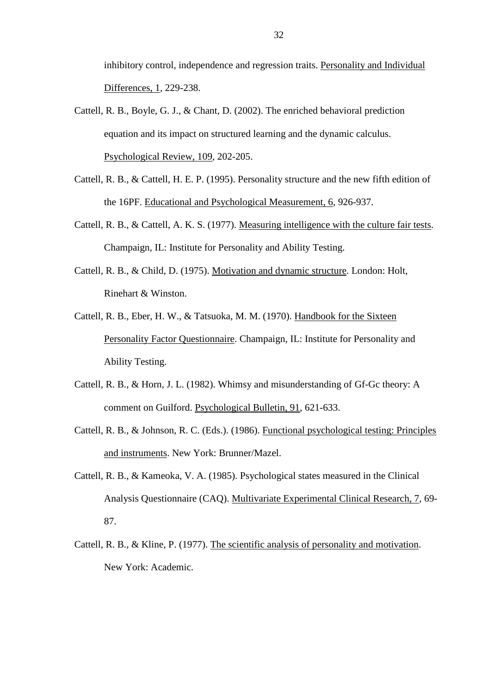inhibitory control, independence and regression traits. Personality and Individual Differences, 1, 229-238.

- Cattell, R. B., Boyle, G. J., & Chant, D. (2002). The enriched behavioral prediction equation and its impact on structured learning and the dynamic calculus. Psychological Review, 109, 202-205.
- Cattell, R. B., & Cattell, H. E. P. (1995). Personality structure and the new fifth edition of the 16PF. Educational and Psychological Measurement, 6, 926-937.
- Cattell, R. B., & Cattell, A. K. S. (1977). Measuring intelligence with the culture fair tests. Champaign, IL: Institute for Personality and Ability Testing.
- Cattell, R. B., & Child, D. (1975). Motivation and dynamic structure. London: Holt, Rinehart & Winston.
- Cattell, R. B., Eber, H. W., & Tatsuoka, M. M. (1970). Handbook for the Sixteen Personality Factor Questionnaire. Champaign, IL: Institute for Personality and Ability Testing.
- Cattell, R. B., & Horn, J. L. (1982). Whimsy and misunderstanding of Gf-Gc theory: A comment on Guilford. Psychological Bulletin, 91, 621-633.
- Cattell, R. B., & Johnson, R. C. (Eds.). (1986). Functional psychological testing: Principles and instruments. New York: Brunner/Mazel.
- Cattell, R. B., & Kameoka, V. A. (1985). Psychological states measured in the Clinical Analysis Questionnaire (CAQ). Multivariate Experimental Clinical Research, 7, 69- 87.
- Cattell, R. B., & Kline, P. (1977). The scientific analysis of personality and motivation. New York: Academic.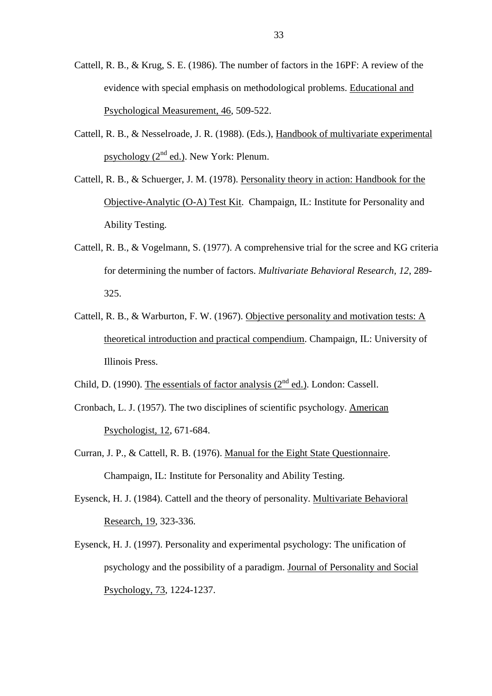- Cattell, R. B., & Krug, S. E. (1986). The number of factors in the 16PF: A review of the evidence with special emphasis on methodological problems. Educational and Psychological Measurement, 46, 509-522.
- Cattell, R. B., & Nesselroade, J. R. (1988). (Eds.), Handbook of multivariate experimental psychology  $(2<sup>nd</sup>$  ed.). New York: Plenum.
- Cattell, R. B., & Schuerger, J. M. (1978). Personality theory in action: Handbook for the Objective-Analytic (O-A) Test Kit. Champaign, IL: Institute for Personality and Ability Testing.
- Cattell, R. B., & Vogelmann, S. (1977). A comprehensive trial for the scree and KG criteria for determining the number of factors. *Multivariate Behavioral Research, 12*, 289- 325.
- Cattell, R. B., & Warburton, F. W. (1967). Objective personality and motivation tests: A theoretical introduction and practical compendium. Champaign, IL: University of Illinois Press.
- Child, D. (1990). The essentials of factor analysis  $(2<sup>nd</sup>$  ed.). London: Cassell.
- Cronbach, L. J. (1957). The two disciplines of scientific psychology. American Psychologist, 12, 671-684.
- Curran, J. P., & Cattell, R. B. (1976). Manual for the Eight State Questionnaire. Champaign, IL: Institute for Personality and Ability Testing.
- Eysenck, H. J. (1984). Cattell and the theory of personality. Multivariate Behavioral Research, 19, 323-336.
- Eysenck, H. J. (1997). Personality and experimental psychology: The unification of psychology and the possibility of a paradigm. Journal of Personality and Social Psychology, 73, 1224-1237.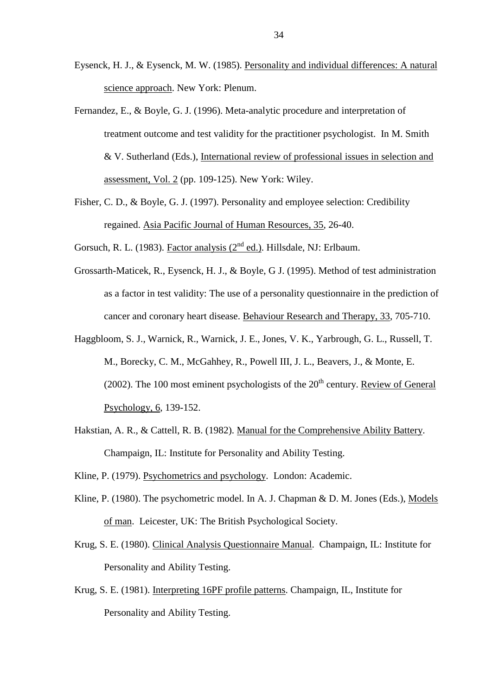- Eysenck, H. J., & Eysenck, M. W. (1985). Personality and individual differences: A natural science approach. New York: Plenum.
- Fernandez, E., & Boyle, G. J. (1996). Meta-analytic procedure and interpretation of treatment outcome and test validity for the practitioner psychologist. In M. Smith & V. Sutherland (Eds.), International review of professional issues in selection and assessment, Vol. 2 (pp. 109-125). New York: Wiley.
- Fisher, C. D., & Boyle, G. J. (1997). Personality and employee selection: Credibility regained. Asia Pacific Journal of Human Resources, 35, 26-40.
- Gorsuch, R. L. (1983). Factor analysis  $(2<sup>nd</sup>$  ed.). Hillsdale, NJ: Erlbaum.
- Grossarth-Maticek, R., Eysenck, H. J., & Boyle, G J. (1995). Method of test administration as a factor in test validity: The use of a personality questionnaire in the prediction of cancer and coronary heart disease. Behaviour Research and Therapy, 33, 705-710.
- Haggbloom, S. J., Warnick, R., Warnick, J. E., Jones, V. K., Yarbrough, G. L., Russell, T. M., Borecky, C. M., McGahhey, R., Powell III, J. L., Beavers, J., & Monte, E. (2002). The 100 most eminent psychologists of the  $20<sup>th</sup>$  century. Review of General Psychology, 6, 139-152.
- Hakstian, A. R., & Cattell, R. B. (1982). Manual for the Comprehensive Ability Battery. Champaign, IL: Institute for Personality and Ability Testing.
- Kline, P. (1979). Psychometrics and psychology. London: Academic.
- Kline, P. (1980). The psychometric model. In A. J. Chapman & D. M. Jones (Eds.), Models of man. Leicester, UK: The British Psychological Society.
- Krug, S. E. (1980). Clinical Analysis Questionnaire Manual. Champaign, IL: Institute for Personality and Ability Testing.
- Krug, S. E. (1981). Interpreting 16PF profile patterns. Champaign, IL, Institute for Personality and Ability Testing.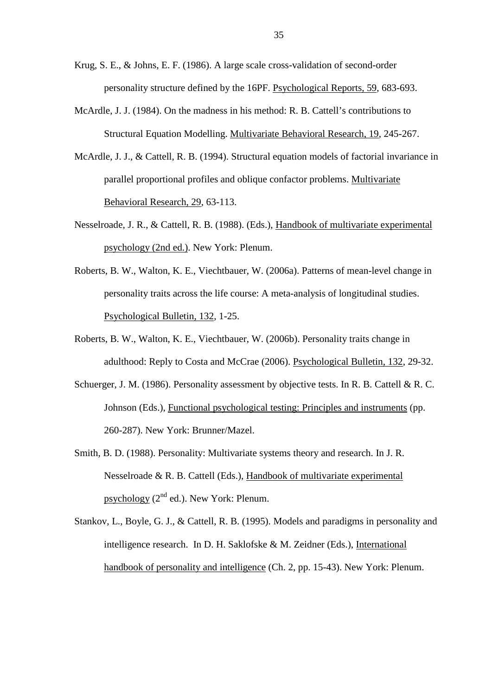- Krug, S. E., & Johns, E. F. (1986). A large scale cross-validation of second-order personality structure defined by the 16PF. Psychological Reports, 59, 683-693.
- McArdle, J. J. (1984). On the madness in his method: R. B. Cattell's contributions to Structural Equation Modelling. Multivariate Behavioral Research, 19, 245-267.
- McArdle, J. J., & Cattell, R. B. (1994). Structural equation models of factorial invariance in parallel proportional profiles and oblique confactor problems. Multivariate Behavioral Research, 29, 63-113.
- Nesselroade, J. R., & Cattell, R. B. (1988). (Eds.), Handbook of multivariate experimental psychology (2nd ed.). New York: Plenum.
- Roberts, B. W., Walton, K. E., Viechtbauer, W. (2006a). Patterns of mean-level change in personality traits across the life course: A meta-analysis of longitudinal studies. Psychological Bulletin, 132, 1-25.
- Roberts, B. W., Walton, K. E., Viechtbauer, W. (2006b). Personality traits change in adulthood: Reply to Costa and McCrae (2006). Psychological Bulletin, 132, 29-32.
- Schuerger, J. M. (1986). Personality assessment by objective tests. In R. B. Cattell & R. C. Johnson (Eds.), Functional psychological testing: Principles and instruments (pp. 260-287). New York: Brunner/Mazel.
- Smith, B. D. (1988). Personality: Multivariate systems theory and research. In J. R. Nesselroade & R. B. Cattell (Eds.), Handbook of multivariate experimental psychology  $(2^{nd}$  ed.). New York: Plenum.
- Stankov, L., Boyle, G. J., & Cattell, R. B. (1995). Models and paradigms in personality and intelligence research. In D. H. Saklofske & M. Zeidner (Eds.), International handbook of personality and intelligence (Ch. 2, pp. 15-43). New York: Plenum.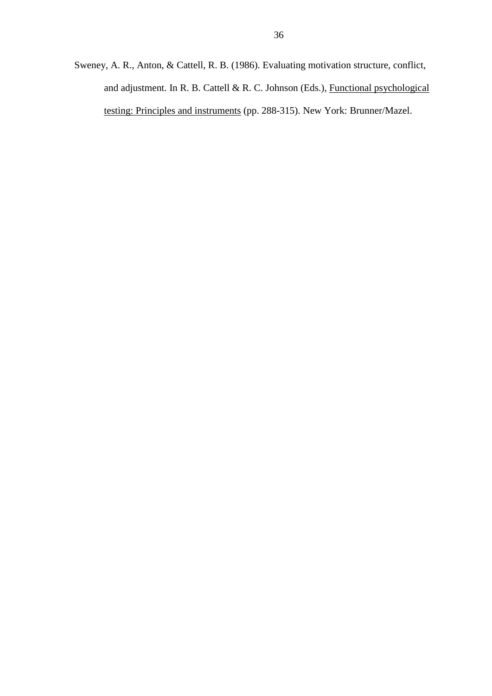Sweney, A. R., Anton, & Cattell, R. B. (1986). Evaluating motivation structure, conflict, and adjustment. In R. B. Cattell & R. C. Johnson (Eds.), Functional psychological testing: Principles and instruments (pp. 288-315). New York: Brunner/Mazel.